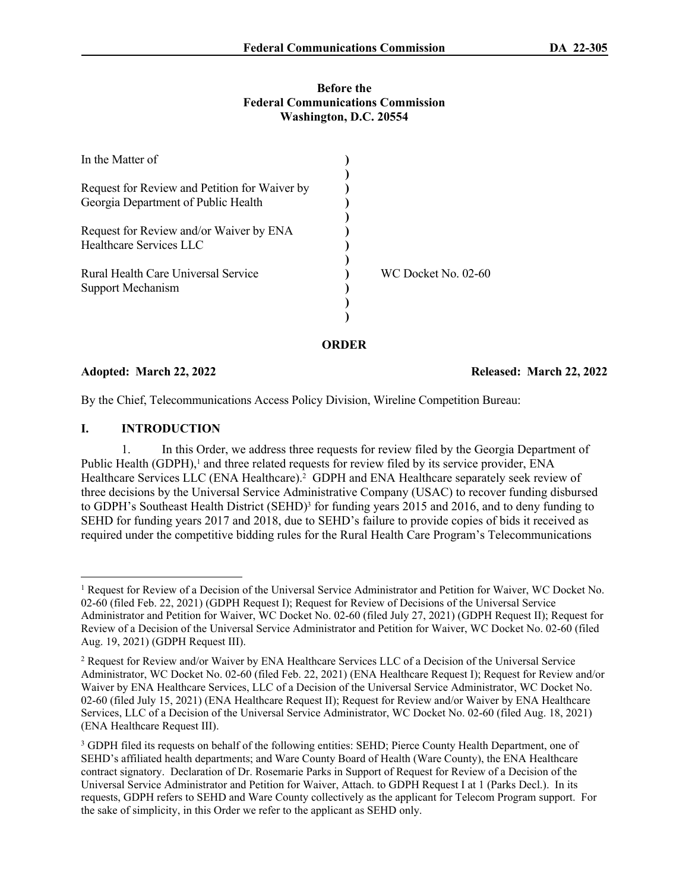#### **Before the Federal Communications Commission Washington, D.C. 20554**

|                                                                                      | ORDER |                     |
|--------------------------------------------------------------------------------------|-------|---------------------|
|                                                                                      |       |                     |
|                                                                                      |       |                     |
| Support Mechanism                                                                    |       |                     |
| Rural Health Care Universal Service                                                  |       | WC Docket No. 02-60 |
| Healthcare Services LLC                                                              |       |                     |
| Request for Review and/or Waiver by ENA                                              |       |                     |
| Request for Review and Petition for Waiver by<br>Georgia Department of Public Health |       |                     |
| In the Matter of                                                                     |       |                     |
|                                                                                      |       |                     |

**Adopted: March 22, 2022 Released: March 22, 2022**

By the Chief, Telecommunications Access Policy Division, Wireline Competition Bureau:

## **I. INTRODUCTION**

1. In this Order, we address three requests for review filed by the Georgia Department of Public Health (GDPH),<sup>1</sup> and three related requests for review filed by its service provider, ENA Healthcare Services LLC (ENA Healthcare).<sup>2</sup> GDPH and ENA Healthcare separately seek review of three decisions by the Universal Service Administrative Company (USAC) to recover funding disbursed to GDPH's Southeast Health District (SEHD)<sup>3</sup> for funding years 2015 and 2016, and to deny funding to SEHD for funding years 2017 and 2018, due to SEHD's failure to provide copies of bids it received as required under the competitive bidding rules for the Rural Health Care Program's Telecommunications

<sup>&</sup>lt;sup>1</sup> Request for Review of a Decision of the Universal Service Administrator and Petition for Waiver, WC Docket No. 02-60 (filed Feb. 22, 2021) (GDPH Request I); Request for Review of Decisions of the Universal Service Administrator and Petition for Waiver, WC Docket No. 02-60 (filed July 27, 2021) (GDPH Request II); Request for Review of a Decision of the Universal Service Administrator and Petition for Waiver, WC Docket No. 02-60 (filed Aug. 19, 2021) (GDPH Request III).

<sup>&</sup>lt;sup>2</sup> Request for Review and/or Waiver by ENA Healthcare Services LLC of a Decision of the Universal Service Administrator, WC Docket No. 02-60 (filed Feb. 22, 2021) (ENA Healthcare Request I); Request for Review and/or Waiver by ENA Healthcare Services, LLC of a Decision of the Universal Service Administrator, WC Docket No. 02-60 (filed July 15, 2021) (ENA Healthcare Request II); Request for Review and/or Waiver by ENA Healthcare Services, LLC of a Decision of the Universal Service Administrator, WC Docket No. 02-60 (filed Aug. 18, 2021) (ENA Healthcare Request III).

<sup>&</sup>lt;sup>3</sup> GDPH filed its requests on behalf of the following entities: SEHD; Pierce County Health Department, one of SEHD's affiliated health departments; and Ware County Board of Health (Ware County), the ENA Healthcare contract signatory. Declaration of Dr. Rosemarie Parks in Support of Request for Review of a Decision of the Universal Service Administrator and Petition for Waiver, Attach. to GDPH Request I at 1 (Parks Decl.). In its requests, GDPH refers to SEHD and Ware County collectively as the applicant for Telecom Program support. For the sake of simplicity, in this Order we refer to the applicant as SEHD only.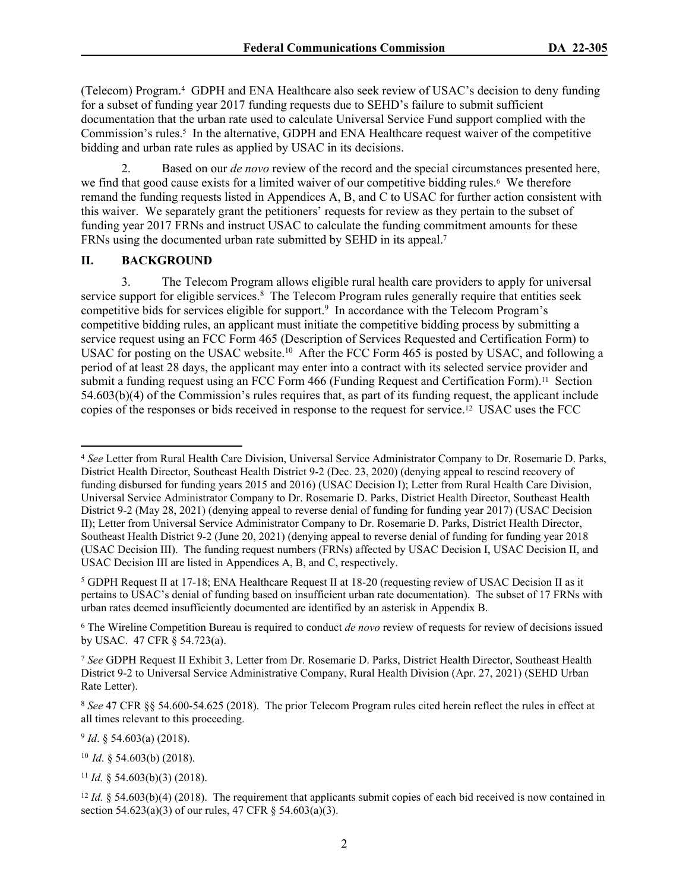(Telecom) Program.<sup>4</sup> GDPH and ENA Healthcare also seek review of USAC's decision to deny funding for a subset of funding year 2017 funding requests due to SEHD's failure to submit sufficient documentation that the urban rate used to calculate Universal Service Fund support complied with the Commission's rules.<sup>5</sup> In the alternative, GDPH and ENA Healthcare request waiver of the competitive bidding and urban rate rules as applied by USAC in its decisions.

2. Based on our *de novo* review of the record and the special circumstances presented here, we find that good cause exists for a limited waiver of our competitive bidding rules.<sup>6</sup> We therefore remand the funding requests listed in Appendices A, B, and C to USAC for further action consistent with this waiver. We separately grant the petitioners' requests for review as they pertain to the subset of funding year 2017 FRNs and instruct USAC to calculate the funding commitment amounts for these FRNs using the documented urban rate submitted by SEHD in its appeal.<sup>7</sup>

#### **II. BACKGROUND**

3. The Telecom Program allows eligible rural health care providers to apply for universal service support for eligible services.<sup>8</sup> The Telecom Program rules generally require that entities seek competitive bids for services eligible for support.<sup>9</sup> In accordance with the Telecom Program's competitive bidding rules, an applicant must initiate the competitive bidding process by submitting a service request using an FCC Form 465 (Description of Services Requested and Certification Form) to USAC for posting on the USAC website.<sup>10</sup> After the FCC Form 465 is posted by USAC, and following a period of at least 28 days, the applicant may enter into a contract with its selected service provider and submit a funding request using an FCC Form 466 (Funding Request and Certification Form).<sup>11</sup> Section 54.603(b)(4) of the Commission's rules requires that, as part of its funding request, the applicant include copies of the responses or bids received in response to the request for service.12 USAC uses the FCC

<sup>5</sup> GDPH Request II at 17-18; ENA Healthcare Request II at 18-20 (requesting review of USAC Decision II as it pertains to USAC's denial of funding based on insufficient urban rate documentation). The subset of 17 FRNs with urban rates deemed insufficiently documented are identified by an asterisk in Appendix B.

6 The Wireline Competition Bureau is required to conduct *de novo* review of requests for review of decisions issued by USAC. 47 CFR § 54.723(a).

9 *Id*. § 54.603(a) (2018).

<sup>10</sup> *Id*. § 54.603(b) (2018).

<sup>11</sup> *Id.* § 54.603(b)(3) (2018).

<sup>4</sup> *See* Letter from Rural Health Care Division, Universal Service Administrator Company to Dr. Rosemarie D. Parks, District Health Director, Southeast Health District 9-2 (Dec. 23, 2020) (denying appeal to rescind recovery of funding disbursed for funding years 2015 and 2016) (USAC Decision I); Letter from Rural Health Care Division, Universal Service Administrator Company to Dr. Rosemarie D. Parks, District Health Director, Southeast Health District 9-2 (May 28, 2021) (denying appeal to reverse denial of funding for funding year 2017) (USAC Decision II); Letter from Universal Service Administrator Company to Dr. Rosemarie D. Parks, District Health Director, Southeast Health District 9-2 (June 20, 2021) (denying appeal to reverse denial of funding for funding year 2018 (USAC Decision III). The funding request numbers (FRNs) affected by USAC Decision I, USAC Decision II, and USAC Decision III are listed in Appendices A, B, and C, respectively.

<sup>7</sup> *See* GDPH Request II Exhibit 3, Letter from Dr. Rosemarie D. Parks, District Health Director, Southeast Health District 9-2 to Universal Service Administrative Company, Rural Health Division (Apr. 27, 2021) (SEHD Urban Rate Letter).

<sup>8</sup> *See* 47 CFR §§ 54.600-54.625 (2018). The prior Telecom Program rules cited herein reflect the rules in effect at all times relevant to this proceeding.

<sup>&</sup>lt;sup>12</sup> *Id.* § 54.603(b)(4) (2018). The requirement that applicants submit copies of each bid received is now contained in section 54.623(a)(3) of our rules, 47 CFR  $\S$  54.603(a)(3).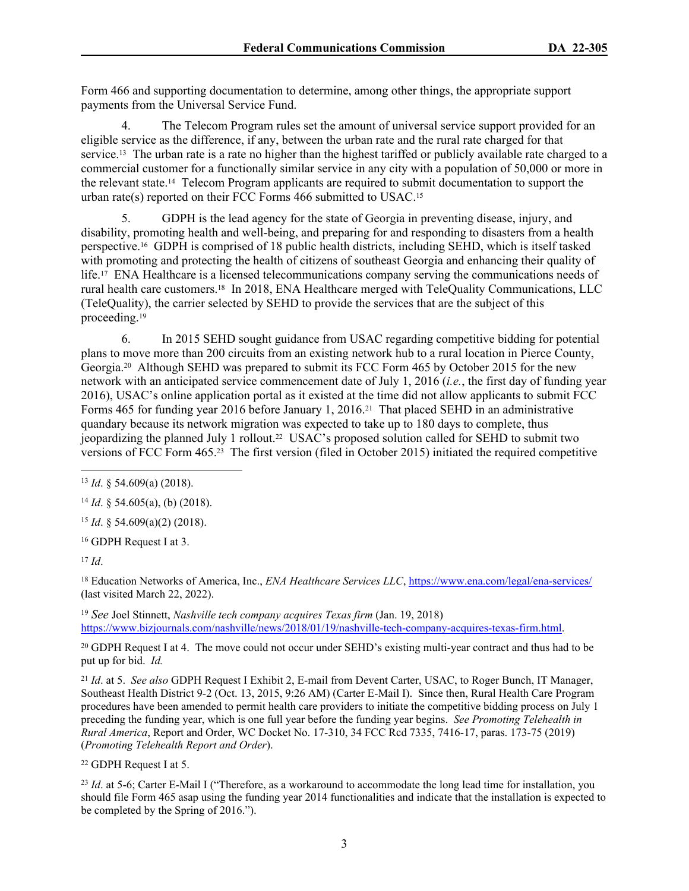Form 466 and supporting documentation to determine, among other things, the appropriate support payments from the Universal Service Fund.

4. The Telecom Program rules set the amount of universal service support provided for an eligible service as the difference, if any, between the urban rate and the rural rate charged for that service.<sup>13</sup> The urban rate is a rate no higher than the highest tariffed or publicly available rate charged to a commercial customer for a functionally similar service in any city with a population of 50,000 or more in the relevant state.14 Telecom Program applicants are required to submit documentation to support the urban rate(s) reported on their FCC Forms 466 submitted to USAC.<sup>15</sup>

5. GDPH is the lead agency for the state of Georgia in preventing disease, injury, and disability, promoting health and well-being, and preparing for and responding to disasters from a health perspective.16 GDPH is comprised of 18 public health districts, including SEHD, which is itself tasked with promoting and protecting the health of citizens of southeast Georgia and enhancing their quality of life.<sup>17</sup> ENA Healthcare is a licensed telecommunications company serving the communications needs of rural health care customers.18 In 2018, ENA Healthcare merged with TeleQuality Communications, LLC (TeleQuality), the carrier selected by SEHD to provide the services that are the subject of this proceeding.<sup>19</sup>

6. In 2015 SEHD sought guidance from USAC regarding competitive bidding for potential plans to move more than 200 circuits from an existing network hub to a rural location in Pierce County, Georgia.20 Although SEHD was prepared to submit its FCC Form 465 by October 2015 for the new network with an anticipated service commencement date of July 1, 2016 (*i.e.*, the first day of funding year 2016), USAC's online application portal as it existed at the time did not allow applicants to submit FCC Forms 465 for funding year 2016 before January 1, 2016.21 That placed SEHD in an administrative quandary because its network migration was expected to take up to 180 days to complete, thus jeopardizing the planned July 1 rollout.22 USAC's proposed solution called for SEHD to submit two versions of FCC Form 465.23 The first version (filed in October 2015) initiated the required competitive

<sup>15</sup> *Id*. § 54.609(a)(2) (2018).

<sup>16</sup> GDPH Request I at 3.

<sup>17</sup> *Id*.

<sup>18</sup> Education Networks of America, Inc., *ENA Healthcare Services LLC*,<https://www.ena.com/legal/ena-services/> (last visited March 22, 2022).

<sup>19</sup> *See* Joel Stinnett, *Nashville tech company acquires Texas firm* (Jan. 19, 2018) <https://www.bizjournals.com/nashville/news/2018/01/19/nashville-tech-company-acquires-texas-firm.html>.

<sup>20</sup> GDPH Request I at 4. The move could not occur under SEHD's existing multi-year contract and thus had to be put up for bid. *Id.*

<sup>21</sup> *Id*. at 5. *See also* GDPH Request I Exhibit 2, E-mail from Devent Carter, USAC, to Roger Bunch, IT Manager, Southeast Health District 9-2 (Oct. 13, 2015, 9:26 AM) (Carter E-Mail I). Since then, Rural Health Care Program procedures have been amended to permit health care providers to initiate the competitive bidding process on July 1 preceding the funding year, which is one full year before the funding year begins. *See Promoting Telehealth in Rural America*, Report and Order, WC Docket No. 17-310, 34 FCC Rcd 7335, 7416-17, paras. 173-75 (2019) (*Promoting Telehealth Report and Order*).

<sup>22</sup> GDPH Request I at 5.

<sup>23</sup> *Id.* at 5-6; Carter E-Mail I ("Therefore, as a workaround to accommodate the long lead time for installation, you should file Form 465 asap using the funding year 2014 functionalities and indicate that the installation is expected to be completed by the Spring of 2016.").

<sup>13</sup> *Id*. § 54.609(a) (2018).

<sup>14</sup> *Id*. § 54.605(a), (b) (2018).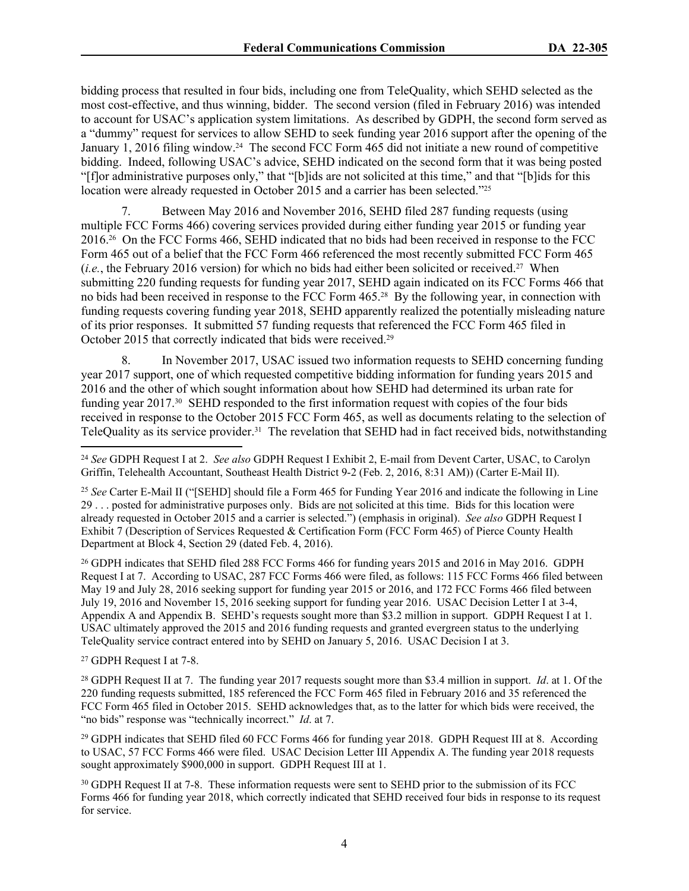bidding process that resulted in four bids, including one from TeleQuality, which SEHD selected as the most cost-effective, and thus winning, bidder. The second version (filed in February 2016) was intended to account for USAC's application system limitations. As described by GDPH, the second form served as a "dummy" request for services to allow SEHD to seek funding year 2016 support after the opening of the January 1, 2016 filing window.<sup>24</sup> The second FCC Form 465 did not initiate a new round of competitive bidding. Indeed, following USAC's advice, SEHD indicated on the second form that it was being posted "[f]or administrative purposes only," that "[b]ids are not solicited at this time," and that "[b]ids for this location were already requested in October 2015 and a carrier has been selected."<sup>25</sup>

7. Between May 2016 and November 2016, SEHD filed 287 funding requests (using multiple FCC Forms 466) covering services provided during either funding year 2015 or funding year 2016.26 On the FCC Forms 466, SEHD indicated that no bids had been received in response to the FCC Form 465 out of a belief that the FCC Form 466 referenced the most recently submitted FCC Form 465 (*i.e.*, the February 2016 version) for which no bids had either been solicited or received.27 When submitting 220 funding requests for funding year 2017, SEHD again indicated on its FCC Forms 466 that no bids had been received in response to the FCC Form 465.28 By the following year, in connection with funding requests covering funding year 2018, SEHD apparently realized the potentially misleading nature of its prior responses. It submitted 57 funding requests that referenced the FCC Form 465 filed in October 2015 that correctly indicated that bids were received.<sup>29</sup>

8. In November 2017, USAC issued two information requests to SEHD concerning funding year 2017 support, one of which requested competitive bidding information for funding years 2015 and 2016 and the other of which sought information about how SEHD had determined its urban rate for funding year 2017.30 SEHD responded to the first information request with copies of the four bids received in response to the October 2015 FCC Form 465, as well as documents relating to the selection of TeleQuality as its service provider.31 The revelation that SEHD had in fact received bids, notwithstanding

<sup>26</sup> GDPH indicates that SEHD filed 288 FCC Forms 466 for funding years 2015 and 2016 in May 2016. GDPH Request I at 7. According to USAC, 287 FCC Forms 466 were filed, as follows: 115 FCC Forms 466 filed between May 19 and July 28, 2016 seeking support for funding year 2015 or 2016, and 172 FCC Forms 466 filed between July 19, 2016 and November 15, 2016 seeking support for funding year 2016. USAC Decision Letter I at 3-4, Appendix A and Appendix B. SEHD's requests sought more than \$3.2 million in support. GDPH Request I at 1. USAC ultimately approved the 2015 and 2016 funding requests and granted evergreen status to the underlying TeleQuality service contract entered into by SEHD on January 5, 2016. USAC Decision I at 3.

<sup>27</sup> GDPH Request I at 7-8.

<sup>28</sup> GDPH Request II at 7. The funding year 2017 requests sought more than \$3.4 million in support. *Id*. at 1. Of the 220 funding requests submitted, 185 referenced the FCC Form 465 filed in February 2016 and 35 referenced the FCC Form 465 filed in October 2015. SEHD acknowledges that, as to the latter for which bids were received, the "no bids" response was "technically incorrect." *Id*. at 7.

<sup>29</sup> GDPH indicates that SEHD filed 60 FCC Forms 466 for funding year 2018. GDPH Request III at 8. According to USAC, 57 FCC Forms 466 were filed. USAC Decision Letter III Appendix A. The funding year 2018 requests sought approximately \$900,000 in support. GDPH Request III at 1.

<sup>30</sup> GDPH Request II at 7-8. These information requests were sent to SEHD prior to the submission of its FCC Forms 466 for funding year 2018, which correctly indicated that SEHD received four bids in response to its request for service.

<sup>24</sup> *See* GDPH Request I at 2. *See also* GDPH Request I Exhibit 2, E-mail from Devent Carter, USAC, to Carolyn Griffin, Telehealth Accountant, Southeast Health District 9-2 (Feb. 2, 2016, 8:31 AM)) (Carter E-Mail II).

<sup>25</sup> *See* Carter E-Mail II ("[SEHD] should file a Form 465 for Funding Year 2016 and indicate the following in Line 29 . . . posted for administrative purposes only. Bids are not solicited at this time. Bids for this location were already requested in October 2015 and a carrier is selected.") (emphasis in original). *See also* GDPH Request I Exhibit 7 (Description of Services Requested & Certification Form (FCC Form 465) of Pierce County Health Department at Block 4, Section 29 (dated Feb. 4, 2016).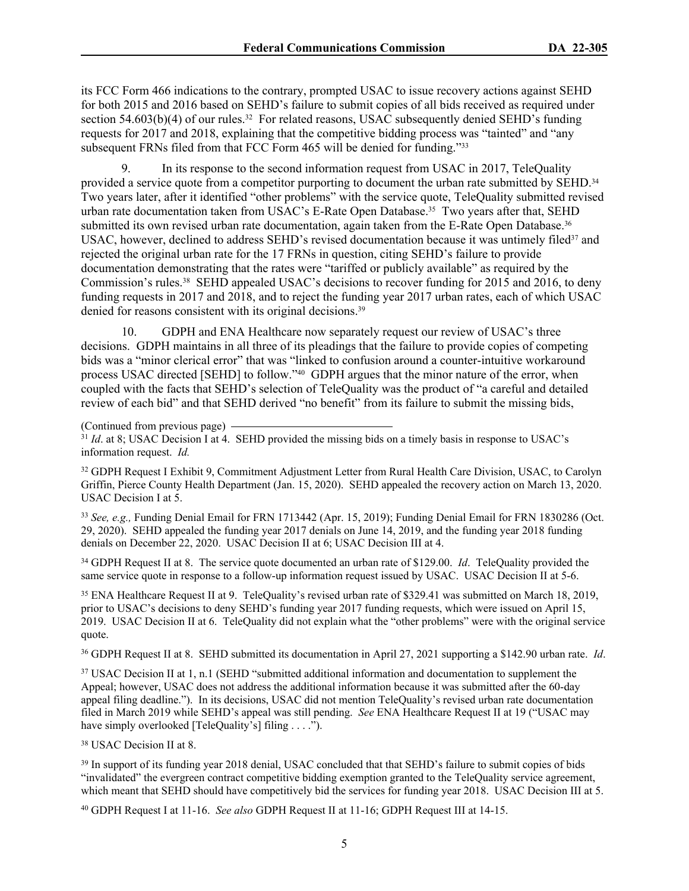its FCC Form 466 indications to the contrary, prompted USAC to issue recovery actions against SEHD for both 2015 and 2016 based on SEHD's failure to submit copies of all bids received as required under section  $54.603(b)(4)$  of our rules.<sup>32</sup> For related reasons, USAC subsequently denied SEHD's funding requests for 2017 and 2018, explaining that the competitive bidding process was "tainted" and "any subsequent FRNs filed from that FCC Form 465 will be denied for funding."<sup>33</sup>

9. In its response to the second information request from USAC in 2017, TeleQuality provided a service quote from a competitor purporting to document the urban rate submitted by SEHD.<sup>34</sup> Two years later, after it identified "other problems" with the service quote, TeleQuality submitted revised urban rate documentation taken from USAC's E-Rate Open Database.<sup>35</sup> Two years after that, SEHD submitted its own revised urban rate documentation, again taken from the E-Rate Open Database.<sup>36</sup> USAC, however, declined to address SEHD's revised documentation because it was untimely filed $37$  and rejected the original urban rate for the 17 FRNs in question, citing SEHD's failure to provide documentation demonstrating that the rates were "tariffed or publicly available" as required by the Commission's rules.38 SEHD appealed USAC's decisions to recover funding for 2015 and 2016, to deny funding requests in 2017 and 2018, and to reject the funding year 2017 urban rates, each of which USAC denied for reasons consistent with its original decisions.<sup>39</sup>

10. GDPH and ENA Healthcare now separately request our review of USAC's three decisions. GDPH maintains in all three of its pleadings that the failure to provide copies of competing bids was a "minor clerical error" that was "linked to confusion around a counter-intuitive workaround process USAC directed [SEHD] to follow."<sup>40</sup> GDPH argues that the minor nature of the error, when coupled with the facts that SEHD's selection of TeleQuality was the product of "a careful and detailed review of each bid" and that SEHD derived "no benefit" from its failure to submit the missing bids,

```
(Continued from previous page)
```
<sup>31</sup> *Id.* at 8; USAC Decision I at 4. SEHD provided the missing bids on a timely basis in response to USAC's information request. *Id.*

<sup>32</sup> GDPH Request I Exhibit 9, Commitment Adjustment Letter from Rural Health Care Division, USAC, to Carolyn Griffin, Pierce County Health Department (Jan. 15, 2020). SEHD appealed the recovery action on March 13, 2020. USAC Decision I at 5.

<sup>33</sup> *See, e.g.,* Funding Denial Email for FRN 1713442 (Apr. 15, 2019); Funding Denial Email for FRN 1830286 (Oct. 29, 2020). SEHD appealed the funding year 2017 denials on June 14, 2019, and the funding year 2018 funding denials on December 22, 2020. USAC Decision II at 6; USAC Decision III at 4.

<sup>34</sup> GDPH Request II at 8. The service quote documented an urban rate of \$129.00. *Id*. TeleQuality provided the same service quote in response to a follow-up information request issued by USAC. USAC Decision II at 5-6.

<sup>35</sup> ENA Healthcare Request II at 9. TeleQuality's revised urban rate of \$329.41 was submitted on March 18, 2019, prior to USAC's decisions to deny SEHD's funding year 2017 funding requests, which were issued on April 15, 2019. USAC Decision II at 6. TeleQuality did not explain what the "other problems" were with the original service quote.

<sup>36</sup> GDPH Request II at 8. SEHD submitted its documentation in April 27, 2021 supporting a \$142.90 urban rate. *Id*.

<sup>37</sup> USAC Decision II at 1, n.1 (SEHD "submitted additional information and documentation to supplement the Appeal; however, USAC does not address the additional information because it was submitted after the 60-day appeal filing deadline."). In its decisions, USAC did not mention TeleQuality's revised urban rate documentation filed in March 2019 while SEHD's appeal was still pending. *See* ENA Healthcare Request II at 19 ("USAC may have simply overlooked [TeleQuality's] filing . . . .").

<sup>38</sup> USAC Decision II at 8.

<sup>39</sup> In support of its funding year 2018 denial, USAC concluded that that SEHD's failure to submit copies of bids "invalidated" the evergreen contract competitive bidding exemption granted to the TeleQuality service agreement, which meant that SEHD should have competitively bid the services for funding year 2018. USAC Decision III at 5.

40 GDPH Request I at 11-16. *See also* GDPH Request II at 11-16; GDPH Request III at 14-15.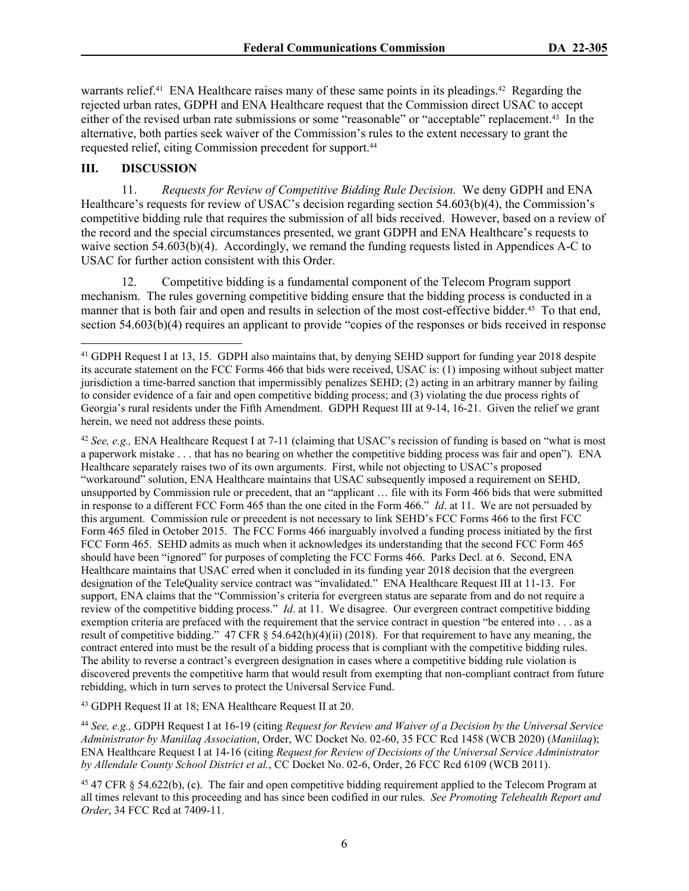warrants relief.<sup>41</sup> ENA Healthcare raises many of these same points in its pleadings.<sup>42</sup> Regarding the rejected urban rates, GDPH and ENA Healthcare request that the Commission direct USAC to accept either of the revised urban rate submissions or some "reasonable" or "acceptable" replacement.<sup>43</sup> In the alternative, both parties seek waiver of the Commission's rules to the extent necessary to grant the requested relief, citing Commission precedent for support.<sup>44</sup>

## **III. DISCUSSION**

11. *Requests for Review of Competitive Bidding Rule Decision.* We deny GDPH and ENA Healthcare's requests for review of USAC's decision regarding section 54.603(b)(4), the Commission's competitive bidding rule that requires the submission of all bids received. However, based on a review of the record and the special circumstances presented, we grant GDPH and ENA Healthcare's requests to waive section 54.603(b)(4). Accordingly, we remand the funding requests listed in Appendices A-C to USAC for further action consistent with this Order.

12. Competitive bidding is a fundamental component of the Telecom Program support mechanism. The rules governing competitive bidding ensure that the bidding process is conducted in a manner that is both fair and open and results in selection of the most cost-effective bidder.<sup>45</sup> To that end, section 54.603(b)(4) requires an applicant to provide "copies of the responses or bids received in response

<sup>42</sup> *See, e.g.,* ENA Healthcare Request I at 7-11 (claiming that USAC's recission of funding is based on "what is most a paperwork mistake . . . that has no bearing on whether the competitive bidding process was fair and open"). ENA Healthcare separately raises two of its own arguments. First, while not objecting to USAC's proposed "workaround" solution, ENA Healthcare maintains that USAC subsequently imposed a requirement on SEHD, unsupported by Commission rule or precedent, that an "applicant … file with its Form 466 bids that were submitted in response to a different FCC Form 465 than the one cited in the Form 466." *Id*. at 11. We are not persuaded by this argument. Commission rule or precedent is not necessary to link SEHD's FCC Forms 466 to the first FCC Form 465 filed in October 2015. The FCC Forms 466 inarguably involved a funding process initiated by the first FCC Form 465. SEHD admits as much when it acknowledges its understanding that the second FCC Form 465 should have been "ignored" for purposes of completing the FCC Forms 466. Parks Decl. at 6. Second, ENA Healthcare maintains that USAC erred when it concluded in its funding year 2018 decision that the evergreen designation of the TeleQuality service contract was "invalidated." ENA Healthcare Request III at 11-13. For support, ENA claims that the "Commission's criteria for evergreen status are separate from and do not require a review of the competitive bidding process." *Id*. at 11. We disagree. Our evergreen contract competitive bidding exemption criteria are prefaced with the requirement that the service contract in question "be entered into . . . as a result of competitive bidding." 47 CFR  $\S 54.642(h)(4)(ii)$  (2018). For that requirement to have any meaning, the contract entered into must be the result of a bidding process that is compliant with the competitive bidding rules. The ability to reverse a contract's evergreen designation in cases where a competitive bidding rule violation is discovered prevents the competitive harm that would result from exempting that non-compliant contract from future rebidding, which in turn serves to protect the Universal Service Fund.

<sup>43</sup> GDPH Request II at 18; ENA Healthcare Request II at 20.

<sup>44</sup> *See, e.g.,* GDPH Request I at 16-19 (citing *Request for Review and Waiver of a Decision by the Universal Service Administrator by Maniilaq Association*, Order, WC Docket No. 02-60, 35 FCC Rcd 1458 (WCB 2020) (*Maniilaq*); ENA Healthcare Request I at 14-16 (citing *Request for Review of Decisions of the Universal Service Administrator by Allendale County School District et al.*, CC Docket No. 02-6, Order, 26 FCC Rcd 6109 (WCB 2011).

<sup>45</sup> 47 CFR § 54.622(b), (c). The fair and open competitive bidding requirement applied to the Telecom Program at all times relevant to this proceeding and has since been codified in our rules. *See Promoting Telehealth Report and Order*, 34 FCC Rcd at 7409-11.

<sup>41</sup> GDPH Request I at 13, 15. GDPH also maintains that, by denying SEHD support for funding year 2018 despite its accurate statement on the FCC Forms 466 that bids were received, USAC is: (1) imposing without subject matter jurisdiction a time-barred sanction that impermissibly penalizes SEHD; (2) acting in an arbitrary manner by failing to consider evidence of a fair and open competitive bidding process; and (3) violating the due process rights of Georgia's rural residents under the Fifth Amendment. GDPH Request III at 9-14, 16-21. Given the relief we grant herein, we need not address these points.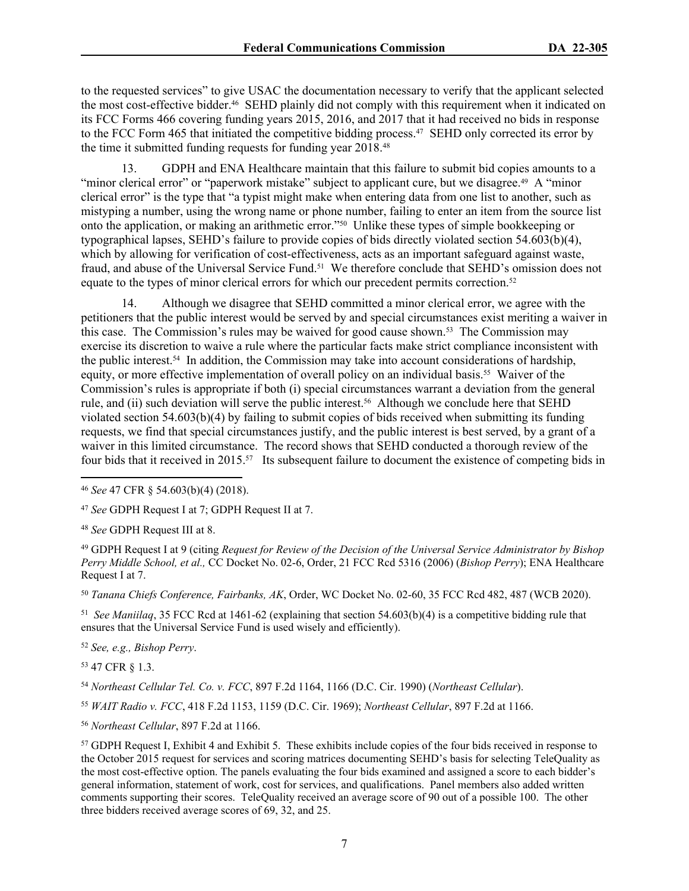to the requested services" to give USAC the documentation necessary to verify that the applicant selected the most cost-effective bidder.46 SEHD plainly did not comply with this requirement when it indicated on its FCC Forms 466 covering funding years 2015, 2016, and 2017 that it had received no bids in response to the FCC Form 465 that initiated the competitive bidding process.<sup>47</sup> SEHD only corrected its error by the time it submitted funding requests for funding year 2018.<sup>48</sup>

13. GDPH and ENA Healthcare maintain that this failure to submit bid copies amounts to a "minor clerical error" or "paperwork mistake" subject to applicant cure, but we disagree.<sup>49</sup> A "minor" clerical error" is the type that "a typist might make when entering data from one list to another, such as mistyping a number, using the wrong name or phone number, failing to enter an item from the source list onto the application, or making an arithmetic error."50 Unlike these types of simple bookkeeping or typographical lapses, SEHD's failure to provide copies of bids directly violated section 54.603(b)(4), which by allowing for verification of cost-effectiveness, acts as an important safeguard against waste, fraud, and abuse of the Universal Service Fund.51 We therefore conclude that SEHD's omission does not equate to the types of minor clerical errors for which our precedent permits correction.<sup>52</sup>

14. Although we disagree that SEHD committed a minor clerical error, we agree with the petitioners that the public interest would be served by and special circumstances exist meriting a waiver in this case. The Commission's rules may be waived for good cause shown.53 The Commission may exercise its discretion to waive a rule where the particular facts make strict compliance inconsistent with the public interest.54 In addition, the Commission may take into account considerations of hardship, equity, or more effective implementation of overall policy on an individual basis.55 Waiver of the Commission's rules is appropriate if both (i) special circumstances warrant a deviation from the general rule, and (ii) such deviation will serve the public interest.<sup>56</sup> Although we conclude here that SEHD violated section 54.603(b)(4) by failing to submit copies of bids received when submitting its funding requests, we find that special circumstances justify, and the public interest is best served, by a grant of a waiver in this limited circumstance. The record shows that SEHD conducted a thorough review of the four bids that it received in 2015.57 Its subsequent failure to document the existence of competing bids in

<sup>48</sup> *See* GDPH Request III at 8.

<sup>49</sup> GDPH Request I at 9 (citing *Request for Review of the Decision of the Universal Service Administrator by Bishop Perry Middle School, et al.,* CC Docket No. 02-6, Order, 21 FCC Rcd 5316 (2006) (*Bishop Perry*); ENA Healthcare Request I at 7.

<sup>50</sup> *Tanana Chiefs Conference, Fairbanks, AK*, Order, WC Docket No. 02-60, 35 FCC Rcd 482, 487 (WCB 2020).

51 *See Maniilaq*, 35 FCC Rcd at 1461-62 (explaining that section 54.603(b)(4) is a competitive bidding rule that ensures that the Universal Service Fund is used wisely and efficiently).

<sup>52</sup> *See, e.g., Bishop Perry*.

<sup>53</sup> 47 CFR § 1.3.

<sup>54</sup> *Northeast Cellular Tel. Co. v. FCC*, 897 F.2d 1164, 1166 (D.C. Cir. 1990) (*Northeast Cellular*).

<sup>55</sup> *WAIT Radio v. FCC*, 418 F.2d 1153, 1159 (D.C. Cir. 1969); *Northeast Cellular*, 897 F.2d at 1166.

<sup>56</sup> *Northeast Cellular*, 897 F.2d at 1166.

<sup>57</sup> GDPH Request I, Exhibit 4 and Exhibit 5. These exhibits include copies of the four bids received in response to the October 2015 request for services and scoring matrices documenting SEHD's basis for selecting TeleQuality as the most cost-effective option. The panels evaluating the four bids examined and assigned a score to each bidder's general information, statement of work, cost for services, and qualifications. Panel members also added written comments supporting their scores. TeleQuality received an average score of 90 out of a possible 100. The other three bidders received average scores of 69, 32, and 25.

<sup>46</sup> *See* 47 CFR § 54.603(b)(4) (2018).

<sup>47</sup> *See* GDPH Request I at 7; GDPH Request II at 7.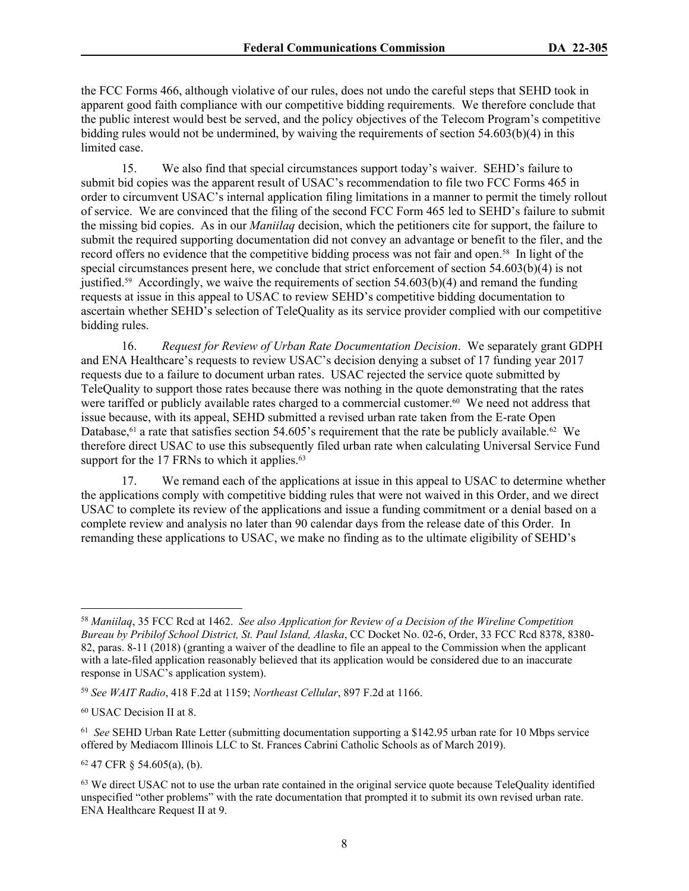the FCC Forms 466, although violative of our rules, does not undo the careful steps that SEHD took in apparent good faith compliance with our competitive bidding requirements. We therefore conclude that the public interest would best be served, and the policy objectives of the Telecom Program's competitive bidding rules would not be undermined, by waiving the requirements of section 54.603(b)(4) in this limited case.

15. We also find that special circumstances support today's waiver. SEHD's failure to submit bid copies was the apparent result of USAC's recommendation to file two FCC Forms 465 in order to circumvent USAC's internal application filing limitations in a manner to permit the timely rollout of service. We are convinced that the filing of the second FCC Form 465 led to SEHD's failure to submit the missing bid copies. As in our *Maniilaq* decision, which the petitioners cite for support, the failure to submit the required supporting documentation did not convey an advantage or benefit to the filer, and the record offers no evidence that the competitive bidding process was not fair and open.<sup>58</sup> In light of the special circumstances present here, we conclude that strict enforcement of section 54.603(b)(4) is not justified.<sup>59</sup> Accordingly, we waive the requirements of section  $54.603(b)(4)$  and remand the funding requests at issue in this appeal to USAC to review SEHD's competitive bidding documentation to ascertain whether SEHD's selection of TeleQuality as its service provider complied with our competitive bidding rules.

16. *Request for Review of Urban Rate Documentation Decision*. We separately grant GDPH and ENA Healthcare's requests to review USAC's decision denying a subset of 17 funding year 2017 requests due to a failure to document urban rates. USAC rejected the service quote submitted by TeleQuality to support those rates because there was nothing in the quote demonstrating that the rates were tariffed or publicly available rates charged to a commercial customer.<sup>60</sup> We need not address that issue because, with its appeal, SEHD submitted a revised urban rate taken from the E-rate Open Database,<sup>61</sup> a rate that satisfies section 54.605's requirement that the rate be publicly available.<sup>62</sup> We therefore direct USAC to use this subsequently filed urban rate when calculating Universal Service Fund support for the 17 FRNs to which it applies.<sup>63</sup>

17. We remand each of the applications at issue in this appeal to USAC to determine whether the applications comply with competitive bidding rules that were not waived in this Order, and we direct USAC to complete its review of the applications and issue a funding commitment or a denial based on a complete review and analysis no later than 90 calendar days from the release date of this Order. In remanding these applications to USAC, we make no finding as to the ultimate eligibility of SEHD's

<sup>62</sup> 47 CFR § 54.605(a), (b).

<sup>58</sup> *Maniilaq*, 35 FCC Rcd at 1462. *See also Application for Review of a Decision of the Wireline Competition Bureau by Pribilof School District, St. Paul Island, Alaska*, CC Docket No. 02-6, Order, 33 FCC Rcd 8378, 8380- 82, paras. 8-11 (2018) (granting a waiver of the deadline to file an appeal to the Commission when the applicant with a late-filed application reasonably believed that its application would be considered due to an inaccurate response in USAC's application system).

<sup>59</sup> *See WAIT Radio*, 418 F.2d at 1159; *Northeast Cellular*, 897 F.2d at 1166.

<sup>60</sup> USAC Decision II at 8.

<sup>&</sup>lt;sup>61</sup> See SEHD Urban Rate Letter (submitting documentation supporting a \$142.95 urban rate for 10 Mbps service offered by Mediacom Illinois LLC to St. Frances Cabrini Catholic Schools as of March 2019).

<sup>&</sup>lt;sup>63</sup> We direct USAC not to use the urban rate contained in the original service quote because TeleQuality identified unspecified "other problems" with the rate documentation that prompted it to submit its own revised urban rate. ENA Healthcare Request II at 9.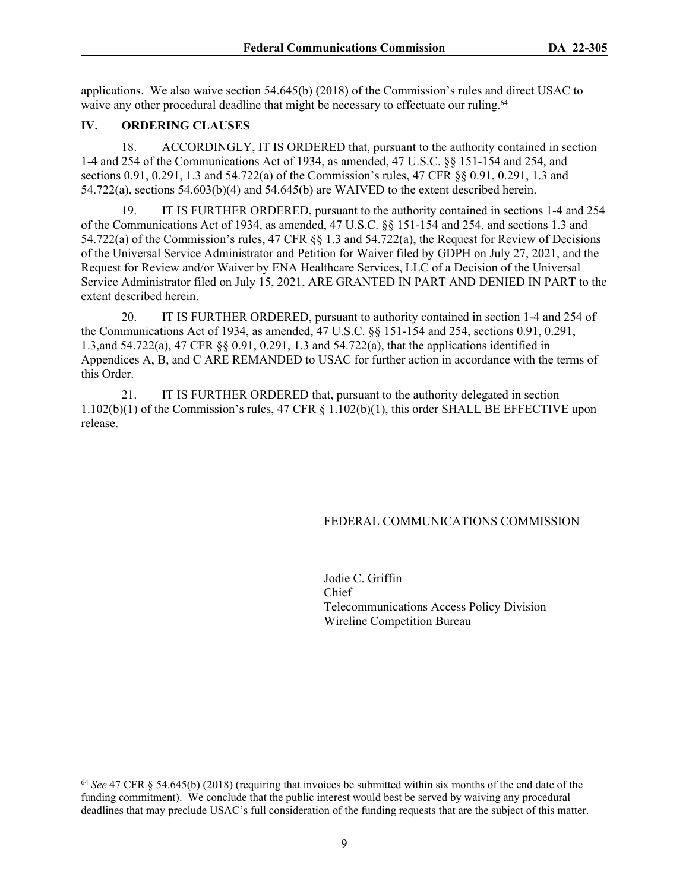applications. We also waive section 54.645(b) (2018) of the Commission's rules and direct USAC to waive any other procedural deadline that might be necessary to effectuate our ruling.<sup>64</sup>

## **IV. ORDERING CLAUSES**

18. ACCORDINGLY, IT IS ORDERED that, pursuant to the authority contained in section 1-4 and 254 of the Communications Act of 1934, as amended, 47 U.S.C. §§ 151-154 and 254, and sections 0.91, 0.291, 1.3 and 54.722(a) of the Commission's rules, 47 CFR §§ 0.91, 0.291, 1.3 and 54.722(a), sections 54.603(b)(4) and 54.645(b) are WAIVED to the extent described herein.

19. IT IS FURTHER ORDERED, pursuant to the authority contained in sections 1-4 and 254 of the Communications Act of 1934, as amended, 47 U.S.C. §§ 151-154 and 254, and sections 1.3 and 54.722(a) of the Commission's rules, 47 CFR §§ 1.3 and 54.722(a), the Request for Review of Decisions of the Universal Service Administrator and Petition for Waiver filed by GDPH on July 27, 2021, and the Request for Review and/or Waiver by ENA Healthcare Services, LLC of a Decision of the Universal Service Administrator filed on July 15, 2021, ARE GRANTED IN PART AND DENIED IN PART to the extent described herein.

20. IT IS FURTHER ORDERED, pursuant to authority contained in section 1-4 and 254 of the Communications Act of 1934, as amended, 47 U.S.C. §§ 151-154 and 254, sections 0.91, 0.291, 1.3,and 54.722(a), 47 CFR §§ 0.91, 0.291, 1.3 and 54.722(a), that the applications identified in Appendices A, B, and C ARE REMANDED to USAC for further action in accordance with the terms of this Order.

21. IT IS FURTHER ORDERED that, pursuant to the authority delegated in section 1.102(b)(1) of the Commission's rules, 47 CFR § 1.102(b)(1), this order SHALL BE EFFECTIVE upon release.

#### FEDERAL COMMUNICATIONS COMMISSION

Jodie C. Griffin Chief Telecommunications Access Policy Division Wireline Competition Bureau

<sup>64</sup> *See* 47 CFR § 54.645(b) (2018) (requiring that invoices be submitted within six months of the end date of the funding commitment). We conclude that the public interest would best be served by waiving any procedural deadlines that may preclude USAC's full consideration of the funding requests that are the subject of this matter.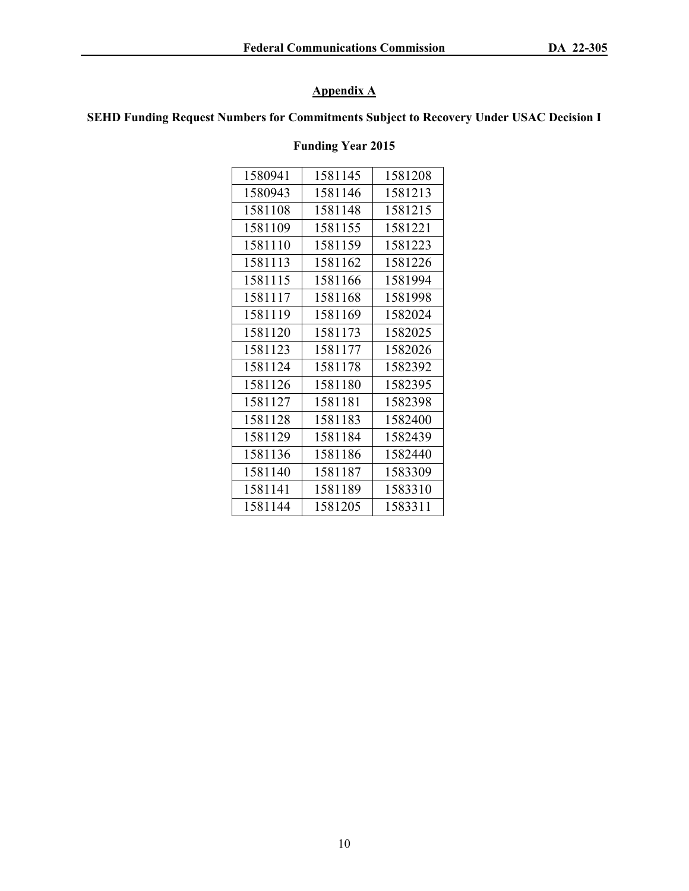# **Appendix A**

## **SEHD Funding Request Numbers for Commitments Subject to Recovery Under USAC Decision I**

## **Funding Year 2015**

| 1580941 | 1581145 | 1581208 |
|---------|---------|---------|
| 1580943 | 1581146 | 1581213 |
| 1581108 | 1581148 | 1581215 |
| 1581109 | 1581155 | 1581221 |
| 1581110 | 1581159 | 1581223 |
| 1581113 | 1581162 | 1581226 |
| 1581115 | 1581166 | 1581994 |
| 1581117 | 1581168 | 1581998 |
| 1581119 | 1581169 | 1582024 |
| 1581120 | 1581173 | 1582025 |
| 1581123 | 1581177 | 1582026 |
| 1581124 | 1581178 | 1582392 |
| 1581126 | 1581180 | 1582395 |
| 1581127 | 1581181 | 1582398 |
| 1581128 | 1581183 | 1582400 |
| 1581129 | 1581184 | 1582439 |
| 1581136 | 1581186 | 1582440 |
| 1581140 | 1581187 | 1583309 |
| 1581141 | 1581189 | 1583310 |
| 1581144 | 1581205 | 1583311 |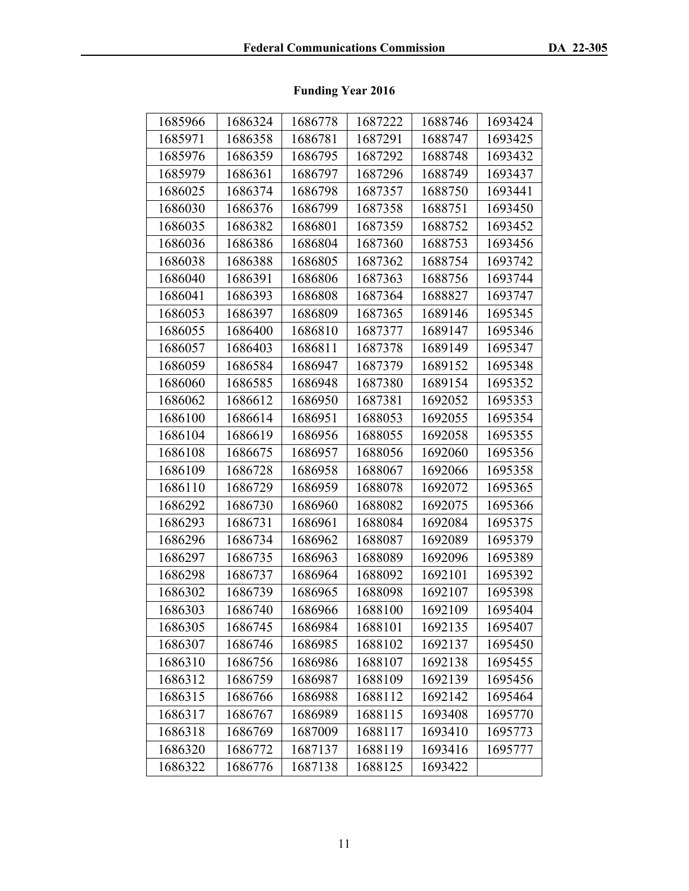# **Funding Year 2016**

| 1685966<br>1685971<br>1685976<br>1685979 | 1686324<br>1686358<br>1686359<br>1686361<br>1686374<br>1686376 | 1686778<br>1686781<br>1686795<br>1686797<br>1686798 | 1687222<br>1687291<br>1687292<br>1687296 | 1688746<br>1688747<br>1688748<br>1688749 | 1693424<br>1693425<br>1693432 |
|------------------------------------------|----------------------------------------------------------------|-----------------------------------------------------|------------------------------------------|------------------------------------------|-------------------------------|
|                                          |                                                                |                                                     |                                          |                                          |                               |
|                                          |                                                                |                                                     |                                          |                                          |                               |
|                                          |                                                                |                                                     |                                          |                                          |                               |
|                                          |                                                                |                                                     |                                          |                                          | 1693437                       |
| 1686025                                  |                                                                |                                                     | 1687357                                  | 1688750                                  | 1693441                       |
| 1686030                                  |                                                                | 1686799                                             | 1687358                                  | 1688751                                  | 1693450                       |
| 1686035                                  | 1686382                                                        | 1686801                                             | 1687359                                  | 1688752                                  | 1693452                       |
| 1686036                                  | 1686386                                                        | 1686804                                             | 1687360                                  | 1688753                                  | 1693456                       |
| 1686038                                  | 1686388                                                        | 1686805                                             | 1687362                                  | 1688754                                  | 1693742                       |
| 1686040                                  | 1686391                                                        | 1686806                                             | 1687363                                  | 1688756                                  | 1693744                       |
| 1686041                                  | 1686393                                                        | 1686808                                             | 1687364                                  | 1688827                                  | 1693747                       |
| 1686053                                  | 1686397                                                        | 1686809                                             | 1687365                                  | 1689146                                  | 1695345                       |
| 1686055                                  | 1686400                                                        | 1686810                                             | 1687377                                  | 1689147                                  | 1695346                       |
| 1686057                                  | 1686403                                                        | 1686811                                             | 1687378                                  | 1689149                                  | 1695347                       |
| 1686059                                  | 1686584                                                        | 1686947                                             | 1687379                                  | 1689152                                  | 1695348                       |
| 1686060                                  | 1686585                                                        | 1686948                                             | 1687380                                  | 1689154                                  | 1695352                       |
| 1686062                                  | 1686612                                                        | 1686950                                             | 1687381                                  | 1692052                                  | 1695353                       |
| 1686100                                  | 1686614                                                        | 1686951                                             | 1688053                                  | 1692055                                  | 1695354                       |
| 1686104                                  | 1686619                                                        | 1686956                                             | 1688055                                  | 1692058                                  | 1695355                       |
| 1686108                                  | 1686675                                                        | 1686957                                             | 1688056                                  | 1692060                                  | 1695356                       |
| 1686109                                  | 1686728                                                        | 1686958                                             | 1688067                                  | 1692066                                  | 1695358                       |
| 1686110                                  | 1686729                                                        | 1686959                                             | 1688078                                  | 1692072                                  | 1695365                       |
| 1686292                                  | 1686730                                                        | 1686960                                             | 1688082                                  | 1692075                                  | 1695366                       |
| 1686293                                  | 1686731                                                        | 1686961                                             | 1688084                                  | 1692084                                  | 1695375                       |
| 1686296                                  | 1686734                                                        | 1686962                                             | 1688087                                  | 1692089                                  | 1695379                       |
| 1686297                                  | 1686735                                                        | 1686963                                             | 1688089                                  | 1692096                                  | 1695389                       |
| 1686298                                  | 1686737                                                        | 1686964                                             | 1688092                                  | 1692101                                  | 1695392                       |
| 1686302                                  | 1686739                                                        | 1686965                                             | 1688098                                  | 1692107                                  | 1695398                       |
| 1686303                                  | 1686740                                                        | 1686966                                             | 1688100                                  | 1692109                                  | 1695404                       |
| 1686305                                  | 1686745                                                        | 1686984                                             | 1688101                                  | 1692135                                  | 1695407                       |
| 1686307                                  | 1686746                                                        | 1686985                                             | 1688102                                  | 1692137                                  | 1695450                       |
| 1686310                                  | 1686756                                                        | 1686986                                             | 1688107                                  | 1692138                                  | 1695455                       |
| 1686312                                  | 1686759                                                        | 1686987                                             | 1688109                                  | 1692139                                  | 1695456                       |
| 1686315                                  | 1686766                                                        | 1686988                                             | 1688112                                  | 1692142                                  | 1695464                       |
| 1686317                                  | 1686767                                                        | 1686989                                             | 1688115                                  | 1693408                                  | 1695770                       |
| 1686318                                  | 1686769                                                        | 1687009                                             | 1688117                                  | 1693410                                  | 1695773                       |
| 1686320                                  | 1686772                                                        | 1687137                                             | 1688119                                  | 1693416                                  | 1695777                       |
| 1686322                                  | 1686776                                                        | 1687138                                             | 1688125                                  | 1693422                                  |                               |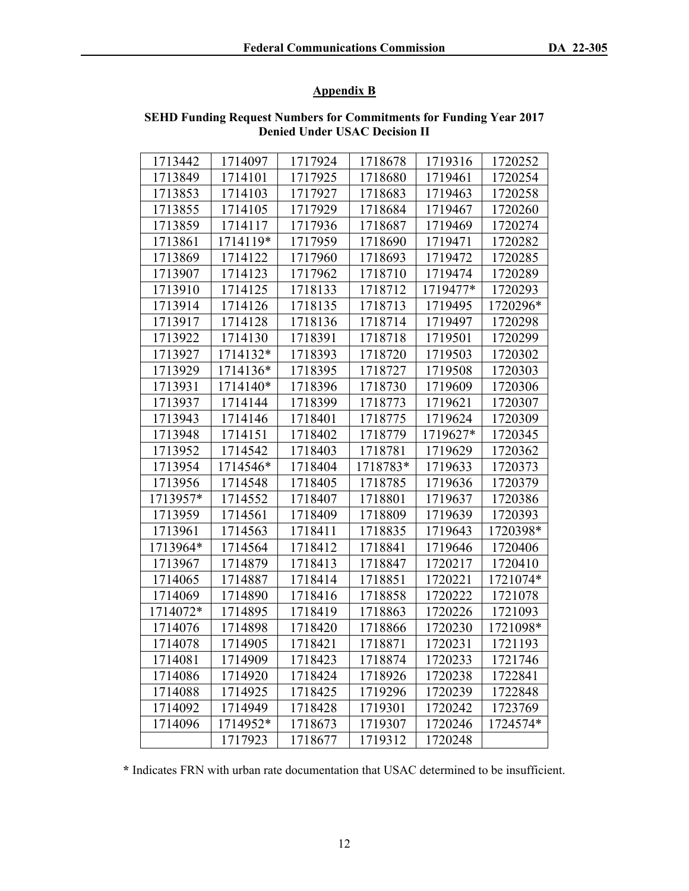## **Appendix B**

| 1713442  | 1714097  | 1717924 | 1718678  | 1719316  | 1720252  |
|----------|----------|---------|----------|----------|----------|
| 1713849  | 1714101  | 1717925 | 1718680  | 1719461  | 1720254  |
| 1713853  | 1714103  | 1717927 | 1718683  | 1719463  | 1720258  |
| 1713855  | 1714105  | 1717929 | 1718684  | 1719467  | 1720260  |
| 1713859  | 1714117  | 1717936 | 1718687  | 1719469  | 1720274  |
| 1713861  | 1714119* | 1717959 | 1718690  | 1719471  | 1720282  |
| 1713869  | 1714122  | 1717960 | 1718693  | 1719472  | 1720285  |
| 1713907  | 1714123  | 1717962 | 1718710  | 1719474  | 1720289  |
| 1713910  | 1714125  | 1718133 | 1718712  | 1719477* | 1720293  |
| 1713914  | 1714126  | 1718135 | 1718713  | 1719495  | 1720296* |
| 1713917  | 1714128  | 1718136 | 1718714  | 1719497  | 1720298  |
| 1713922  | 1714130  | 1718391 | 1718718  | 1719501  | 1720299  |
| 1713927  | 1714132* | 1718393 | 1718720  | 1719503  | 1720302  |
| 1713929  | 1714136* | 1718395 | 1718727  | 1719508  | 1720303  |
| 1713931  | 1714140* | 1718396 | 1718730  | 1719609  | 1720306  |
| 1713937  | 1714144  | 1718399 | 1718773  | 1719621  | 1720307  |
| 1713943  | 1714146  | 1718401 | 1718775  | 1719624  | 1720309  |
| 1713948  | 1714151  | 1718402 | 1718779  | 1719627* | 1720345  |
| 1713952  | 1714542  | 1718403 | 1718781  | 1719629  | 1720362  |
| 1713954  | 1714546* | 1718404 | 1718783* | 1719633  | 1720373  |
| 1713956  | 1714548  | 1718405 | 1718785  | 1719636  | 1720379  |
| 1713957* | 1714552  | 1718407 | 1718801  | 1719637  | 1720386  |
| 1713959  | 1714561  | 1718409 | 1718809  | 1719639  | 1720393  |
| 1713961  | 1714563  | 1718411 | 1718835  | 1719643  | 1720398* |
| 1713964* | 1714564  | 1718412 | 1718841  | 1719646  | 1720406  |
| 1713967  | 1714879  | 1718413 | 1718847  | 1720217  | 1720410  |
| 1714065  | 1714887  | 1718414 | 1718851  | 1720221  | 1721074* |
| 1714069  | 1714890  | 1718416 | 1718858  | 1720222  | 1721078  |
| 1714072* | 1714895  | 1718419 | 1718863  | 1720226  | 1721093  |
| 1714076  | 1714898  | 1718420 | 1718866  | 1720230  | 1721098* |
| 1714078  | 1714905  | 1718421 | 1718871  | 1720231  | 1721193  |
| 1714081  | 1714909  | 1718423 | 1718874  | 1720233  | 1721746  |
| 1714086  | 1714920  | 1718424 | 1718926  | 1720238  | 1722841  |
| 1714088  | 1714925  | 1718425 | 1719296  | 1720239  | 1722848  |
| 1714092  | 1714949  | 1718428 | 1719301  | 1720242  | 1723769  |
| 1714096  | 1714952* | 1718673 | 1719307  | 1720246  | 1724574* |
|          | 1717923  | 1718677 | 1719312  | 1720248  |          |

## **SEHD Funding Request Numbers for Commitments for Funding Year 2017 Denied Under USAC Decision II**

**\*** Indicates FRN with urban rate documentation that USAC determined to be insufficient.